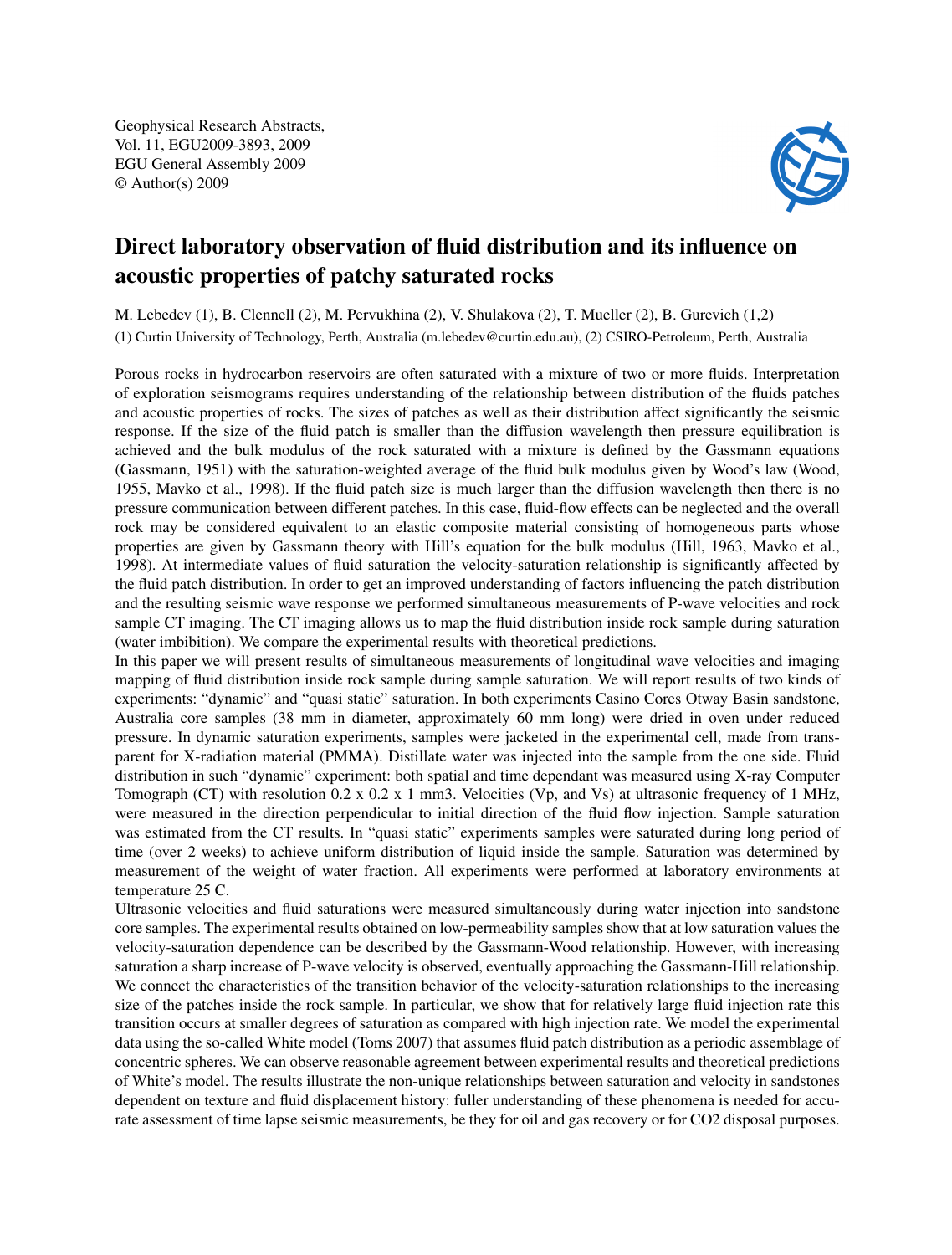Geophysical Research Abstracts, Vol. 11, EGU2009-3893, 2009 EGU General Assembly 2009 © Author(s) 2009



## Direct laboratory observation of fluid distribution and its influence on acoustic properties of patchy saturated rocks

M. Lebedev (1), B. Clennell (2), M. Pervukhina (2), V. Shulakova (2), T. Mueller (2), B. Gurevich (1,2)

(1) Curtin University of Technology, Perth, Australia (m.lebedev@curtin.edu.au), (2) CSIRO-Petroleum, Perth, Australia

Porous rocks in hydrocarbon reservoirs are often saturated with a mixture of two or more fluids. Interpretation of exploration seismograms requires understanding of the relationship between distribution of the fluids patches and acoustic properties of rocks. The sizes of patches as well as their distribution affect significantly the seismic response. If the size of the fluid patch is smaller than the diffusion wavelength then pressure equilibration is achieved and the bulk modulus of the rock saturated with a mixture is defined by the Gassmann equations (Gassmann, 1951) with the saturation-weighted average of the fluid bulk modulus given by Wood's law (Wood, 1955, Mavko et al., 1998). If the fluid patch size is much larger than the diffusion wavelength then there is no pressure communication between different patches. In this case, fluid-flow effects can be neglected and the overall rock may be considered equivalent to an elastic composite material consisting of homogeneous parts whose properties are given by Gassmann theory with Hill's equation for the bulk modulus (Hill, 1963, Mavko et al., 1998). At intermediate values of fluid saturation the velocity-saturation relationship is significantly affected by the fluid patch distribution. In order to get an improved understanding of factors influencing the patch distribution and the resulting seismic wave response we performed simultaneous measurements of P-wave velocities and rock sample CT imaging. The CT imaging allows us to map the fluid distribution inside rock sample during saturation (water imbibition). We compare the experimental results with theoretical predictions.

In this paper we will present results of simultaneous measurements of longitudinal wave velocities and imaging mapping of fluid distribution inside rock sample during sample saturation. We will report results of two kinds of experiments: "dynamic" and "quasi static" saturation. In both experiments Casino Cores Otway Basin sandstone, Australia core samples (38 mm in diameter, approximately 60 mm long) were dried in oven under reduced pressure. In dynamic saturation experiments, samples were jacketed in the experimental cell, made from transparent for X-radiation material (PMMA). Distillate water was injected into the sample from the one side. Fluid distribution in such "dynamic" experiment: both spatial and time dependant was measured using X-ray Computer Tomograph (CT) with resolution 0.2 x 0.2 x 1 mm3. Velocities (Vp, and Vs) at ultrasonic frequency of 1 MHz, were measured in the direction perpendicular to initial direction of the fluid flow injection. Sample saturation was estimated from the CT results. In "quasi static" experiments samples were saturated during long period of time (over 2 weeks) to achieve uniform distribution of liquid inside the sample. Saturation was determined by measurement of the weight of water fraction. All experiments were performed at laboratory environments at temperature 25 C.

Ultrasonic velocities and fluid saturations were measured simultaneously during water injection into sandstone core samples. The experimental results obtained on low-permeability samples show that at low saturation values the velocity-saturation dependence can be described by the Gassmann-Wood relationship. However, with increasing saturation a sharp increase of P-wave velocity is observed, eventually approaching the Gassmann-Hill relationship. We connect the characteristics of the transition behavior of the velocity-saturation relationships to the increasing size of the patches inside the rock sample. In particular, we show that for relatively large fluid injection rate this transition occurs at smaller degrees of saturation as compared with high injection rate. We model the experimental data using the so-called White model (Toms 2007) that assumes fluid patch distribution as a periodic assemblage of concentric spheres. We can observe reasonable agreement between experimental results and theoretical predictions of White's model. The results illustrate the non-unique relationships between saturation and velocity in sandstones dependent on texture and fluid displacement history: fuller understanding of these phenomena is needed for accurate assessment of time lapse seismic measurements, be they for oil and gas recovery or for CO2 disposal purposes.